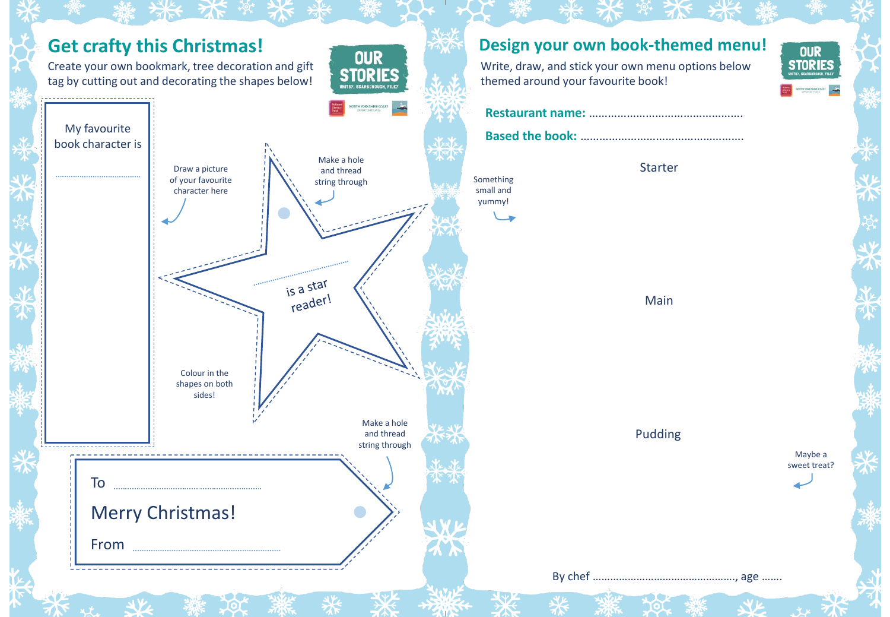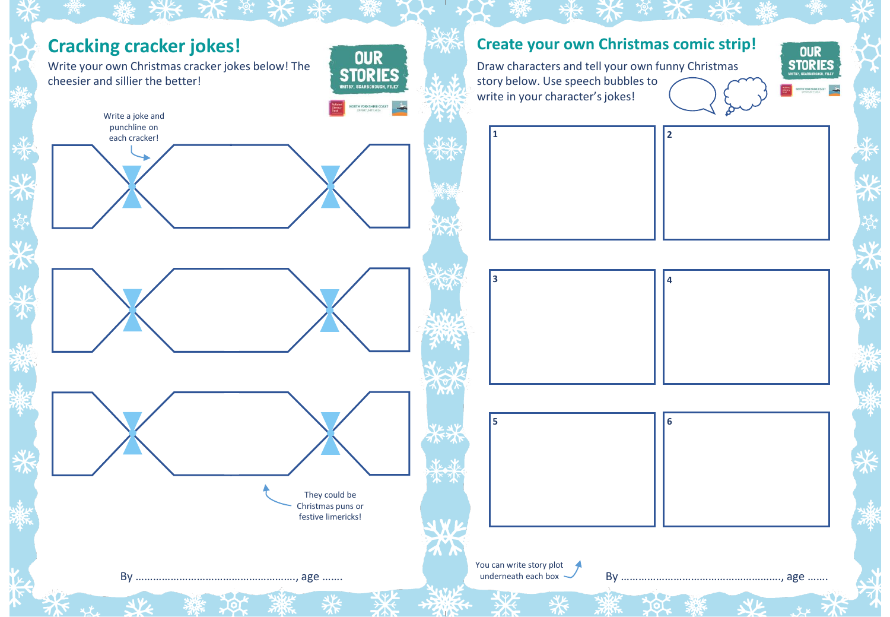